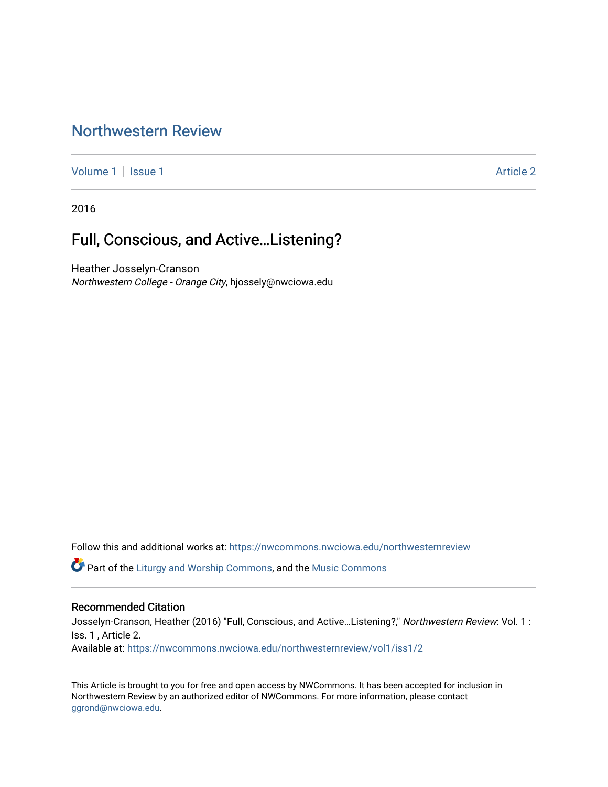## [Northwestern Review](https://nwcommons.nwciowa.edu/northwesternreview)

[Volume 1](https://nwcommons.nwciowa.edu/northwesternreview/vol1) | [Issue 1](https://nwcommons.nwciowa.edu/northwesternreview/vol1/iss1) Article 2

2016

# Full, Conscious, and Active…Listening?

Heather Josselyn-Cranson Northwestern College - Orange City, hjossely@nwciowa.edu

Follow this and additional works at: [https://nwcommons.nwciowa.edu/northwesternreview](https://nwcommons.nwciowa.edu/northwesternreview?utm_source=nwcommons.nwciowa.edu%2Fnorthwesternreview%2Fvol1%2Fiss1%2F2&utm_medium=PDF&utm_campaign=PDFCoverPages) 

Part of the [Liturgy and Worship Commons](http://network.bepress.com/hgg/discipline/1188?utm_source=nwcommons.nwciowa.edu%2Fnorthwesternreview%2Fvol1%2Fiss1%2F2&utm_medium=PDF&utm_campaign=PDFCoverPages), and the [Music Commons](http://network.bepress.com/hgg/discipline/518?utm_source=nwcommons.nwciowa.edu%2Fnorthwesternreview%2Fvol1%2Fiss1%2F2&utm_medium=PDF&utm_campaign=PDFCoverPages) 

#### Recommended Citation

Josselyn-Cranson, Heather (2016) "Full, Conscious, and Active…Listening?," Northwestern Review: Vol. 1 : Iss. 1 , Article 2.

Available at: [https://nwcommons.nwciowa.edu/northwesternreview/vol1/iss1/2](https://nwcommons.nwciowa.edu/northwesternreview/vol1/iss1/2?utm_source=nwcommons.nwciowa.edu%2Fnorthwesternreview%2Fvol1%2Fiss1%2F2&utm_medium=PDF&utm_campaign=PDFCoverPages)

This Article is brought to you for free and open access by NWCommons. It has been accepted for inclusion in Northwestern Review by an authorized editor of NWCommons. For more information, please contact [ggrond@nwciowa.edu.](mailto:ggrond@nwciowa.edu)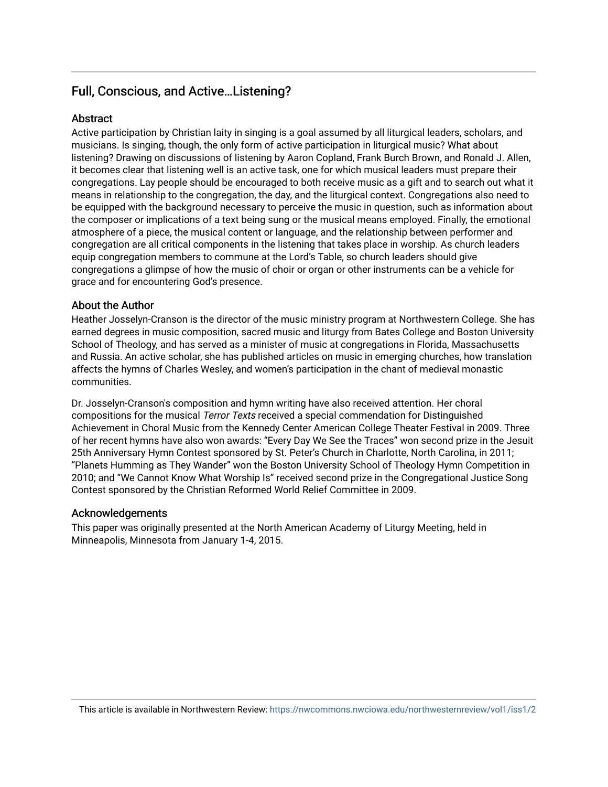## Full, Conscious, and Active…Listening?

### **Abstract**

Active participation by Christian laity in singing is a goal assumed by all liturgical leaders, scholars, and musicians. Is singing, though, the only form of active participation in liturgical music? What about listening? Drawing on discussions of listening by Aaron Copland, Frank Burch Brown, and Ronald J. Allen, it becomes clear that listening well is an active task, one for which musical leaders must prepare their congregations. Lay people should be encouraged to both receive music as a gift and to search out what it means in relationship to the congregation, the day, and the liturgical context. Congregations also need to be equipped with the background necessary to perceive the music in question, such as information about the composer or implications of a text being sung or the musical means employed. Finally, the emotional atmosphere of a piece, the musical content or language, and the relationship between performer and congregation are all critical components in the listening that takes place in worship. As church leaders equip congregation members to commune at the Lord's Table, so church leaders should give congregations a glimpse of how the music of choir or organ or other instruments can be a vehicle for grace and for encountering God's presence.

#### About the Author

Heather Josselyn-Cranson is the director of the music ministry program at Northwestern College. She has earned degrees in music composition, sacred music and liturgy from Bates College and Boston University School of Theology, and has served as a minister of music at congregations in Florida, Massachusetts and Russia. An active scholar, she has published articles on music in emerging churches, how translation affects the hymns of Charles Wesley, and women's participation in the chant of medieval monastic communities.

Dr. Josselyn-Cranson's composition and hymn writing have also received attention. Her choral compositions for the musical Terror Texts received a special commendation for Distinguished Achievement in Choral Music from the Kennedy Center American College Theater Festival in 2009. Three of her recent hymns have also won awards: "Every Day We See the Traces" won second prize in the Jesuit 25th Anniversary Hymn Contest sponsored by St. Peter's Church in Charlotte, North Carolina, in 2011; "Planets Humming as They Wander" won the Boston University School of Theology Hymn Competition in 2010; and "We Cannot Know What Worship Is" received second prize in the Congregational Justice Song Contest sponsored by the Christian Reformed World Relief Committee in 2009.

#### Acknowledgements

This paper was originally presented at the North American Academy of Liturgy Meeting, held in Minneapolis, Minnesota from January 1-4, 2015.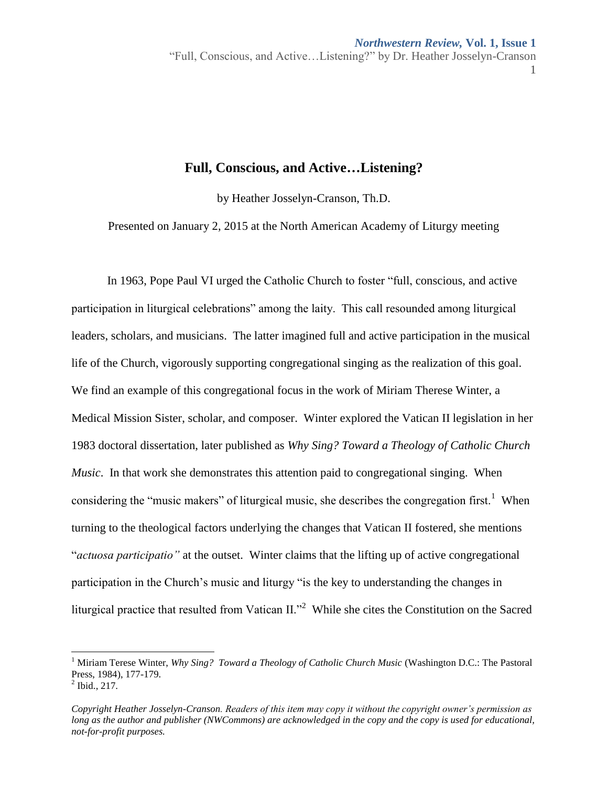1

### **Full, Conscious, and Active…Listening?**

by Heather Josselyn-Cranson, Th.D.

Presented on January 2, 2015 at the North American Academy of Liturgy meeting

In 1963, Pope Paul VI urged the Catholic Church to foster "full, conscious, and active participation in liturgical celebrations" among the laity. This call resounded among liturgical leaders, scholars, and musicians. The latter imagined full and active participation in the musical life of the Church, vigorously supporting congregational singing as the realization of this goal. We find an example of this congregational focus in the work of Miriam Therese Winter, a Medical Mission Sister, scholar, and composer. Winter explored the Vatican II legislation in her 1983 doctoral dissertation, later published as *Why Sing? Toward a Theology of Catholic Church Music*. In that work she demonstrates this attention paid to congregational singing. When considering the "music makers" of liturgical music, she describes the congregation first.<sup>1</sup> When turning to the theological factors underlying the changes that Vatican II fostered, she mentions "*actuosa participatio"* at the outset. Winter claims that the lifting up of active congregational participation in the Church's music and liturgy "is the key to understanding the changes in liturgical practice that resulted from Vatican II."<sup>2</sup> While she cites the Constitution on the Sacred

 $\overline{a}$ 

<sup>&</sup>lt;sup>1</sup> Miriam Terese Winter, *Why Sing? Toward a Theology of Catholic Church Music* (Washington D.C.: The Pastoral Press, 1984), 177-179.

 $^{2}$  Ibid., 217.

*Copyright Heather Josselyn-Cranson. Readers of this item may copy it without the copyright owner's permission as long as the author and publisher (NWCommons) are acknowledged in the copy and the copy is used for educational, not-for-profit purposes.*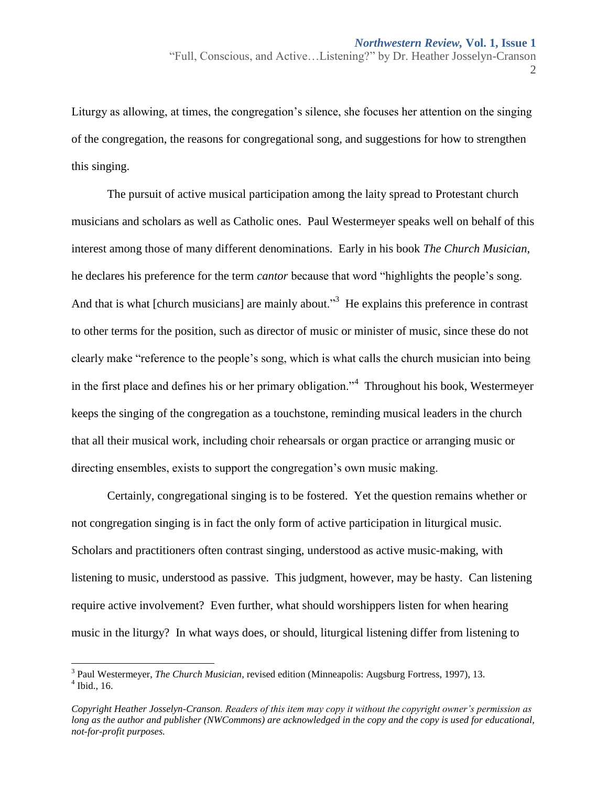2

Liturgy as allowing, at times, the congregation's silence, she focuses her attention on the singing of the congregation, the reasons for congregational song, and suggestions for how to strengthen this singing.

The pursuit of active musical participation among the laity spread to Protestant church musicians and scholars as well as Catholic ones. Paul Westermeyer speaks well on behalf of this interest among those of many different denominations. Early in his book *The Church Musician,*  he declares his preference for the term *cantor* because that word "highlights the people's song. And that is what [church musicians] are mainly about.<sup>33</sup> He explains this preference in contrast to other terms for the position, such as director of music or minister of music, since these do not clearly make "reference to the people's song, which is what calls the church musician into being in the first place and defines his or her primary obligation."<sup>4</sup> Throughout his book, Westermeyer keeps the singing of the congregation as a touchstone, reminding musical leaders in the church that all their musical work, including choir rehearsals or organ practice or arranging music or directing ensembles, exists to support the congregation's own music making.

Certainly, congregational singing is to be fostered. Yet the question remains whether or not congregation singing is in fact the only form of active participation in liturgical music. Scholars and practitioners often contrast singing, understood as active music-making, with listening to music, understood as passive. This judgment, however, may be hasty. Can listening require active involvement? Even further, what should worshippers listen for when hearing music in the liturgy? In what ways does, or should, liturgical listening differ from listening to

<sup>&</sup>lt;sup>3</sup> Paul Westermeyer, *The Church Musician*, revised edition (Minneapolis: Augsburg Fortress, 1997), 13.  $<sup>4</sup>$  Ibid., 16.</sup>

*Copyright Heather Josselyn-Cranson. Readers of this item may copy it without the copyright owner's permission as long as the author and publisher (NWCommons) are acknowledged in the copy and the copy is used for educational, not-for-profit purposes.*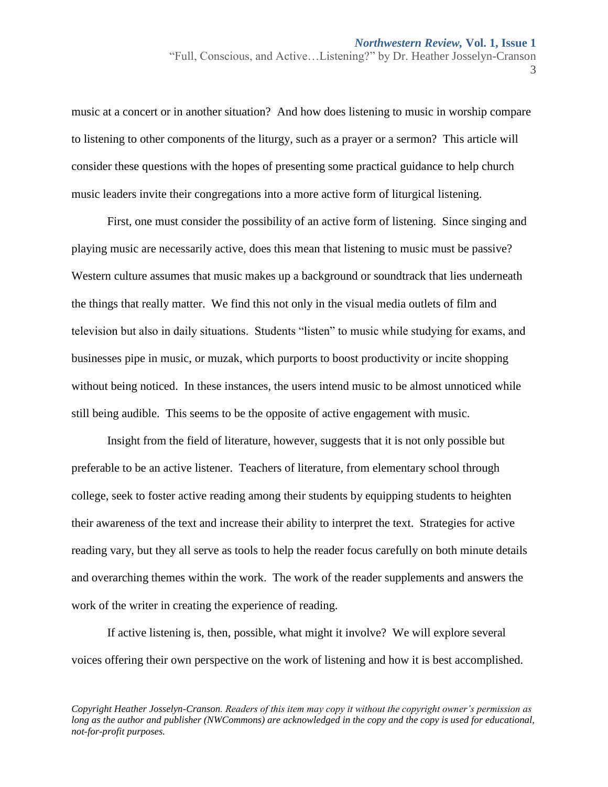music at a concert or in another situation? And how does listening to music in worship compare to listening to other components of the liturgy, such as a prayer or a sermon? This article will consider these questions with the hopes of presenting some practical guidance to help church music leaders invite their congregations into a more active form of liturgical listening.

First, one must consider the possibility of an active form of listening. Since singing and playing music are necessarily active, does this mean that listening to music must be passive? Western culture assumes that music makes up a background or soundtrack that lies underneath the things that really matter. We find this not only in the visual media outlets of film and television but also in daily situations. Students "listen" to music while studying for exams, and businesses pipe in music, or muzak, which purports to boost productivity or incite shopping without being noticed. In these instances, the users intend music to be almost unnoticed while still being audible. This seems to be the opposite of active engagement with music.

Insight from the field of literature, however, suggests that it is not only possible but preferable to be an active listener. Teachers of literature, from elementary school through college, seek to foster active reading among their students by equipping students to heighten their awareness of the text and increase their ability to interpret the text. Strategies for active reading vary, but they all serve as tools to help the reader focus carefully on both minute details and overarching themes within the work. The work of the reader supplements and answers the work of the writer in creating the experience of reading.

If active listening is, then, possible, what might it involve? We will explore several voices offering their own perspective on the work of listening and how it is best accomplished.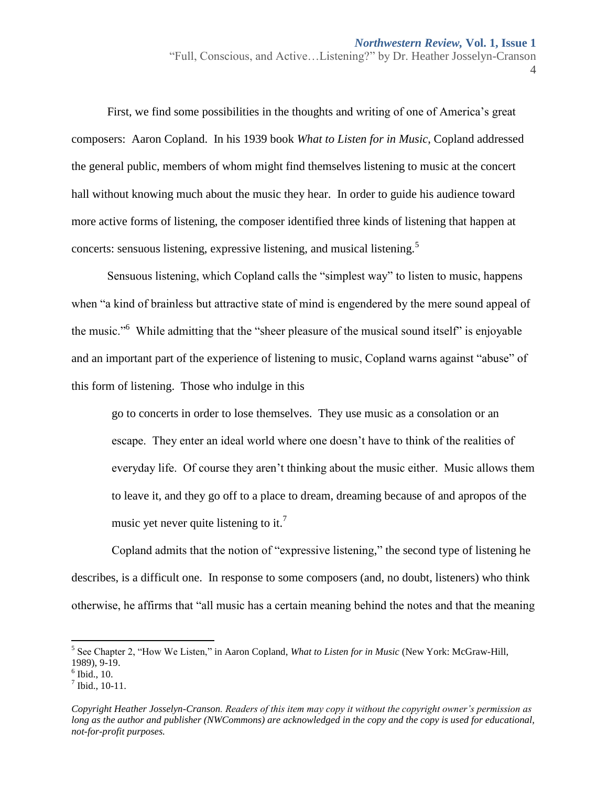First, we find some possibilities in the thoughts and writing of one of America's great composers: Aaron Copland. In his 1939 book *What to Listen for in Music*, Copland addressed the general public, members of whom might find themselves listening to music at the concert hall without knowing much about the music they hear. In order to guide his audience toward more active forms of listening, the composer identified three kinds of listening that happen at concerts: sensuous listening, expressive listening, and musical listening.<sup>5</sup>

Sensuous listening, which Copland calls the "simplest way" to listen to music, happens when "a kind of brainless but attractive state of mind is engendered by the mere sound appeal of the music."<sup>6</sup> While admitting that the "sheer pleasure of the musical sound itself" is enjoyable and an important part of the experience of listening to music, Copland warns against "abuse" of this form of listening. Those who indulge in this

go to concerts in order to lose themselves. They use music as a consolation or an escape. They enter an ideal world where one doesn't have to think of the realities of everyday life. Of course they aren't thinking about the music either. Music allows them to leave it, and they go off to a place to dream, dreaming because of and apropos of the music yet never quite listening to it.<sup>7</sup>

Copland admits that the notion of "expressive listening," the second type of listening he describes, is a difficult one. In response to some composers (and, no doubt, listeners) who think otherwise, he affirms that "all music has a certain meaning behind the notes and that the meaning

 $\overline{a}$ 

<sup>5</sup> See Chapter 2, "How We Listen," in Aaron Copland, *What to Listen for in Music* (New York: McGraw-Hill, 1989), 9-19.

<sup>6</sup> Ibid., 10.

 $<sup>7</sup>$  Ibid., 10-11.</sup>

*Copyright Heather Josselyn-Cranson. Readers of this item may copy it without the copyright owner's permission as long as the author and publisher (NWCommons) are acknowledged in the copy and the copy is used for educational, not-for-profit purposes.*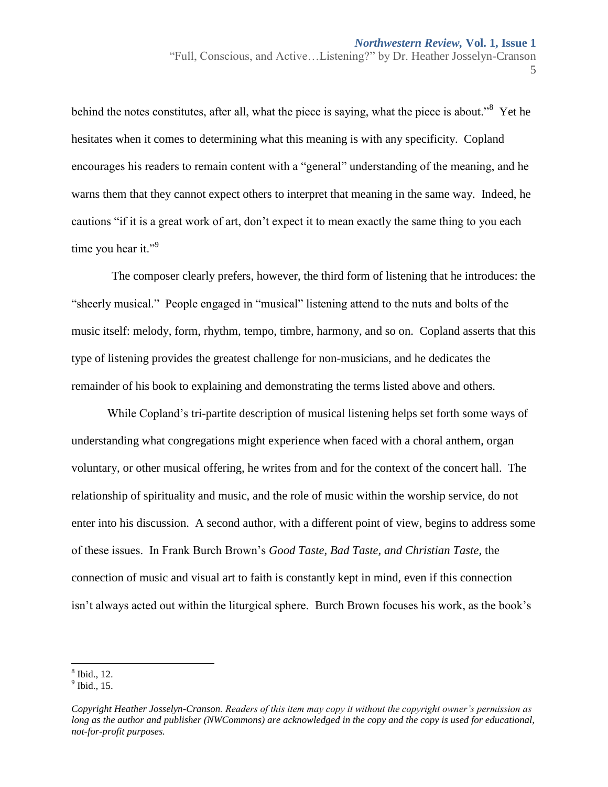behind the notes constitutes, after all, what the piece is saying, what the piece is about.<sup>38</sup> Yet he hesitates when it comes to determining what this meaning is with any specificity. Copland encourages his readers to remain content with a "general" understanding of the meaning, and he warns them that they cannot expect others to interpret that meaning in the same way. Indeed, he cautions "if it is a great work of art, don't expect it to mean exactly the same thing to you each time you hear it."<sup>9</sup>

The composer clearly prefers, however, the third form of listening that he introduces: the "sheerly musical." People engaged in "musical" listening attend to the nuts and bolts of the music itself: melody, form, rhythm, tempo, timbre, harmony, and so on. Copland asserts that this type of listening provides the greatest challenge for non-musicians, and he dedicates the remainder of his book to explaining and demonstrating the terms listed above and others.

While Copland's tri-partite description of musical listening helps set forth some ways of understanding what congregations might experience when faced with a choral anthem, organ voluntary, or other musical offering, he writes from and for the context of the concert hall. The relationship of spirituality and music, and the role of music within the worship service, do not enter into his discussion. A second author, with a different point of view, begins to address some of these issues. In Frank Burch Brown's *Good Taste, Bad Taste, and Christian Taste,* the connection of music and visual art to faith is constantly kept in mind, even if this connection isn't always acted out within the liturgical sphere. Burch Brown focuses his work, as the book's

 8 Ibid., 12.

 $<sup>9</sup>$  Ibid., 15.</sup>

*Copyright Heather Josselyn-Cranson. Readers of this item may copy it without the copyright owner's permission as long as the author and publisher (NWCommons) are acknowledged in the copy and the copy is used for educational, not-for-profit purposes.*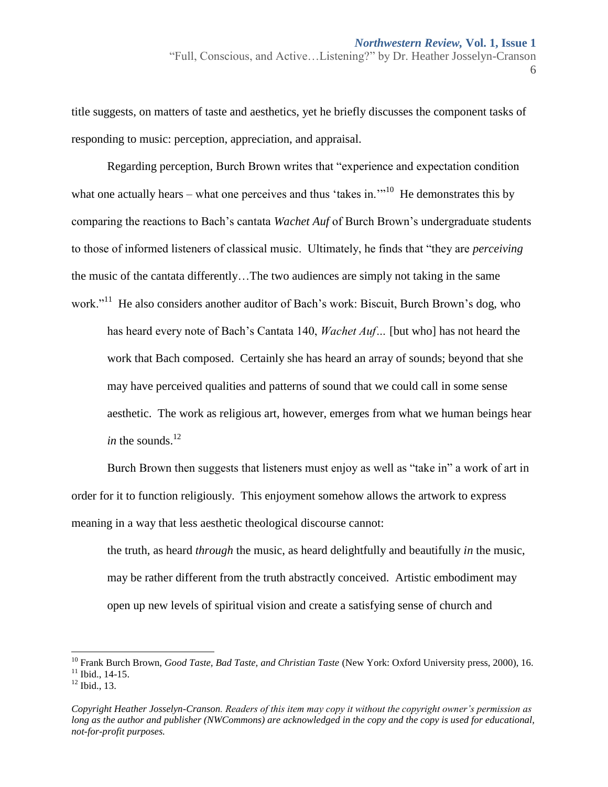title suggests, on matters of taste and aesthetics, yet he briefly discusses the component tasks of responding to music: perception, appreciation, and appraisal.

Regarding perception, Burch Brown writes that "experience and expectation condition what one actually hears – what one perceives and thus 'takes in. $\cdot$ <sup>10</sup> He demonstrates this by comparing the reactions to Bach's cantata *Wachet Auf* of Burch Brown's undergraduate students to those of informed listeners of classical music. Ultimately, he finds that "they are *perceiving*  the music of the cantata differently…The two audiences are simply not taking in the same work."<sup>11</sup> He also considers another auditor of Bach's work: Biscuit, Burch Brown's dog, who

has heard every note of Bach's Cantata 140, *Wachet Auf…* [but who] has not heard the work that Bach composed. Certainly she has heard an array of sounds; beyond that she may have perceived qualities and patterns of sound that we could call in some sense aesthetic. The work as religious art, however, emerges from what we human beings hear *in* the sounds.<sup>12</sup>

Burch Brown then suggests that listeners must enjoy as well as "take in" a work of art in order for it to function religiously. This enjoyment somehow allows the artwork to express meaning in a way that less aesthetic theological discourse cannot:

the truth, as heard *through* the music, as heard delightfully and beautifully *in* the music, may be rather different from the truth abstractly conceived. Artistic embodiment may open up new levels of spiritual vision and create a satisfying sense of church and

 $\overline{a}$ 

<sup>&</sup>lt;sup>10</sup> Frank Burch Brown, *Good Taste, Bad Taste, and Christian Taste* (New York: Oxford University press, 2000), 16.  $11$  Ibid.,  $14-15$ .

 $12$  Ibid., 13.

*Copyright Heather Josselyn-Cranson. Readers of this item may copy it without the copyright owner's permission as long as the author and publisher (NWCommons) are acknowledged in the copy and the copy is used for educational, not-for-profit purposes.*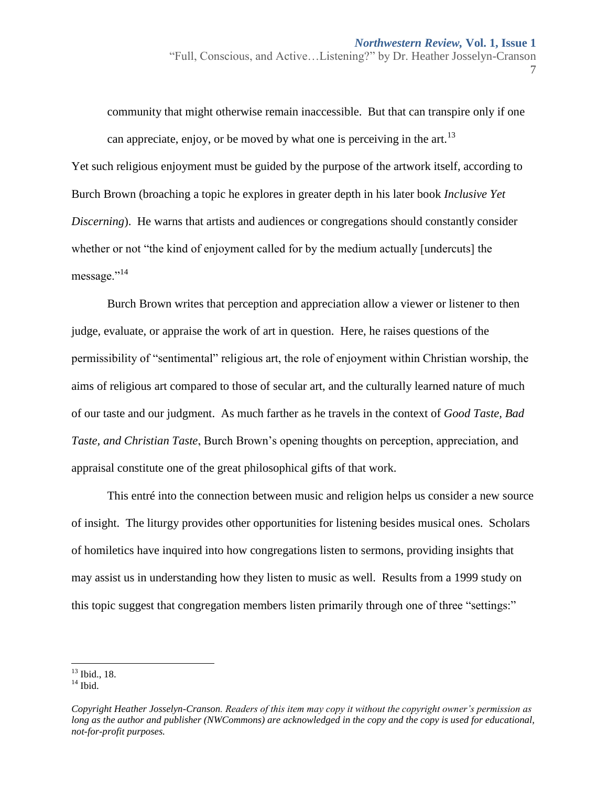community that might otherwise remain inaccessible. But that can transpire only if one can appreciate, enjoy, or be moved by what one is perceiving in the art.<sup>13</sup> Yet such religious enjoyment must be guided by the purpose of the artwork itself, according to Burch Brown (broaching a topic he explores in greater depth in his later book *Inclusive Yet Discerning*). He warns that artists and audiences or congregations should constantly consider whether or not "the kind of enjoyment called for by the medium actually [undercuts] the message."<sup>14</sup>

Burch Brown writes that perception and appreciation allow a viewer or listener to then judge, evaluate, or appraise the work of art in question. Here, he raises questions of the permissibility of "sentimental" religious art, the role of enjoyment within Christian worship, the aims of religious art compared to those of secular art, and the culturally learned nature of much of our taste and our judgment. As much farther as he travels in the context of *Good Taste, Bad Taste, and Christian Taste*, Burch Brown's opening thoughts on perception, appreciation, and appraisal constitute one of the great philosophical gifts of that work.

This entré into the connection between music and religion helps us consider a new source of insight. The liturgy provides other opportunities for listening besides musical ones. Scholars of homiletics have inquired into how congregations listen to sermons, providing insights that may assist us in understanding how they listen to music as well. Results from a 1999 study on this topic suggest that congregation members listen primarily through one of three "settings:"

l <sup>13</sup> Ibid., 18.

 $14$  Ibid.

*Copyright Heather Josselyn-Cranson. Readers of this item may copy it without the copyright owner's permission as long as the author and publisher (NWCommons) are acknowledged in the copy and the copy is used for educational, not-for-profit purposes.*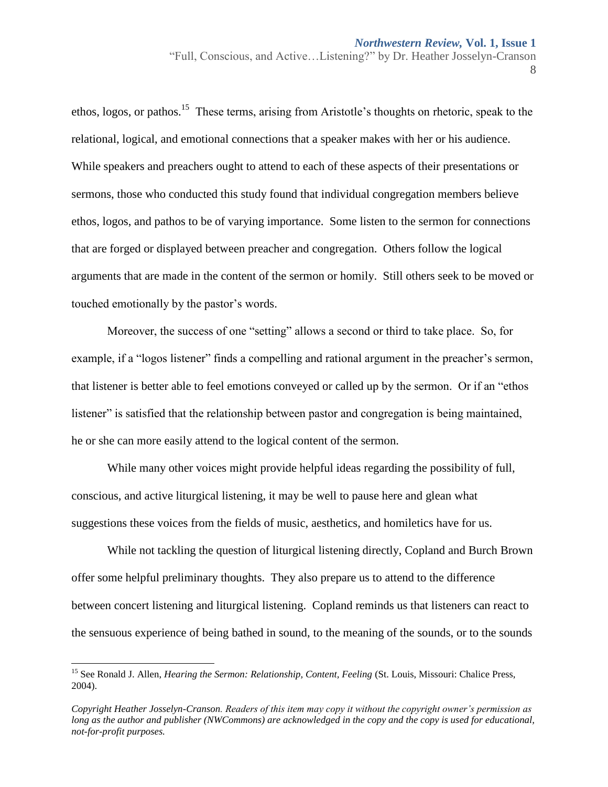ethos, logos, or pathos.<sup>15</sup> These terms, arising from Aristotle's thoughts on rhetoric, speak to the relational, logical, and emotional connections that a speaker makes with her or his audience. While speakers and preachers ought to attend to each of these aspects of their presentations or sermons, those who conducted this study found that individual congregation members believe ethos, logos, and pathos to be of varying importance. Some listen to the sermon for connections that are forged or displayed between preacher and congregation. Others follow the logical arguments that are made in the content of the sermon or homily. Still others seek to be moved or touched emotionally by the pastor's words.

Moreover, the success of one "setting" allows a second or third to take place. So, for example, if a "logos listener" finds a compelling and rational argument in the preacher's sermon, that listener is better able to feel emotions conveyed or called up by the sermon. Or if an "ethos listener" is satisfied that the relationship between pastor and congregation is being maintained, he or she can more easily attend to the logical content of the sermon.

While many other voices might provide helpful ideas regarding the possibility of full, conscious, and active liturgical listening, it may be well to pause here and glean what suggestions these voices from the fields of music, aesthetics, and homiletics have for us.

While not tackling the question of liturgical listening directly, Copland and Burch Brown offer some helpful preliminary thoughts. They also prepare us to attend to the difference between concert listening and liturgical listening. Copland reminds us that listeners can react to the sensuous experience of being bathed in sound, to the meaning of the sounds, or to the sounds

l

<sup>&</sup>lt;sup>15</sup> See Ronald J. Allen, *Hearing the Sermon: Relationship, Content, Feeling* (St. Louis, Missouri: Chalice Press, 2004).

*Copyright Heather Josselyn-Cranson. Readers of this item may copy it without the copyright owner's permission as long as the author and publisher (NWCommons) are acknowledged in the copy and the copy is used for educational, not-for-profit purposes.*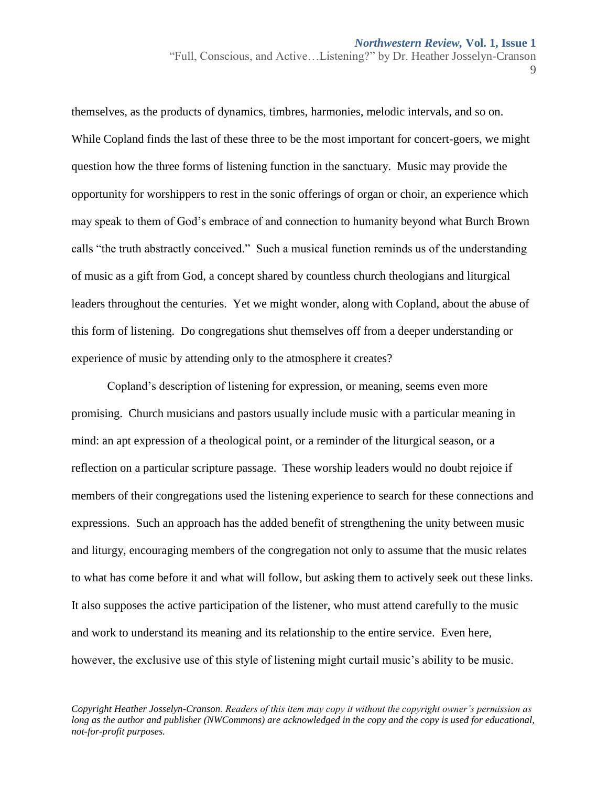themselves, as the products of dynamics, timbres, harmonies, melodic intervals, and so on. While Copland finds the last of these three to be the most important for concert-goers, we might question how the three forms of listening function in the sanctuary. Music may provide the opportunity for worshippers to rest in the sonic offerings of organ or choir, an experience which may speak to them of God's embrace of and connection to humanity beyond what Burch Brown calls "the truth abstractly conceived." Such a musical function reminds us of the understanding of music as a gift from God, a concept shared by countless church theologians and liturgical leaders throughout the centuries. Yet we might wonder, along with Copland, about the abuse of this form of listening. Do congregations shut themselves off from a deeper understanding or experience of music by attending only to the atmosphere it creates?

Copland's description of listening for expression, or meaning, seems even more promising. Church musicians and pastors usually include music with a particular meaning in mind: an apt expression of a theological point, or a reminder of the liturgical season, or a reflection on a particular scripture passage. These worship leaders would no doubt rejoice if members of their congregations used the listening experience to search for these connections and expressions. Such an approach has the added benefit of strengthening the unity between music and liturgy, encouraging members of the congregation not only to assume that the music relates to what has come before it and what will follow, but asking them to actively seek out these links. It also supposes the active participation of the listener, who must attend carefully to the music and work to understand its meaning and its relationship to the entire service. Even here, however, the exclusive use of this style of listening might curtail music's ability to be music.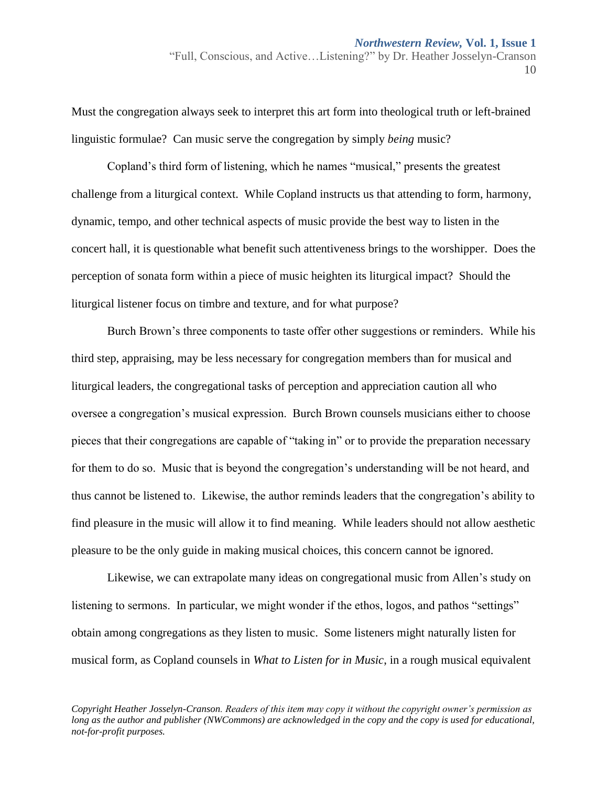Must the congregation always seek to interpret this art form into theological truth or left-brained linguistic formulae? Can music serve the congregation by simply *being* music?

Copland's third form of listening, which he names "musical," presents the greatest challenge from a liturgical context. While Copland instructs us that attending to form, harmony, dynamic, tempo, and other technical aspects of music provide the best way to listen in the concert hall, it is questionable what benefit such attentiveness brings to the worshipper. Does the perception of sonata form within a piece of music heighten its liturgical impact? Should the liturgical listener focus on timbre and texture, and for what purpose?

Burch Brown's three components to taste offer other suggestions or reminders. While his third step, appraising, may be less necessary for congregation members than for musical and liturgical leaders, the congregational tasks of perception and appreciation caution all who oversee a congregation's musical expression. Burch Brown counsels musicians either to choose pieces that their congregations are capable of "taking in" or to provide the preparation necessary for them to do so. Music that is beyond the congregation's understanding will be not heard, and thus cannot be listened to. Likewise, the author reminds leaders that the congregation's ability to find pleasure in the music will allow it to find meaning. While leaders should not allow aesthetic pleasure to be the only guide in making musical choices, this concern cannot be ignored.

Likewise, we can extrapolate many ideas on congregational music from Allen's study on listening to sermons. In particular, we might wonder if the ethos, logos, and pathos "settings" obtain among congregations as they listen to music. Some listeners might naturally listen for musical form, as Copland counsels in *What to Listen for in Music*, in a rough musical equivalent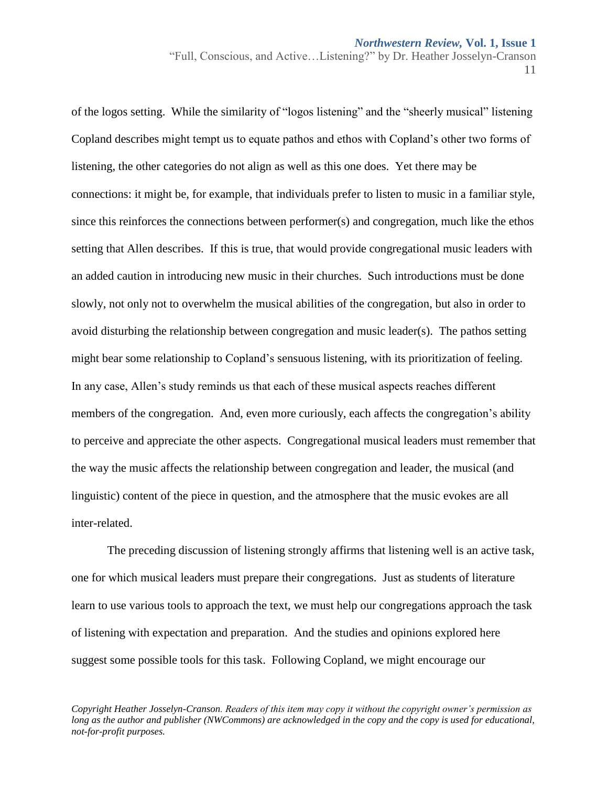of the logos setting. While the similarity of "logos listening" and the "sheerly musical" listening Copland describes might tempt us to equate pathos and ethos with Copland's other two forms of listening, the other categories do not align as well as this one does. Yet there may be connections: it might be, for example, that individuals prefer to listen to music in a familiar style, since this reinforces the connections between performer(s) and congregation, much like the ethos setting that Allen describes. If this is true, that would provide congregational music leaders with an added caution in introducing new music in their churches. Such introductions must be done slowly, not only not to overwhelm the musical abilities of the congregation, but also in order to avoid disturbing the relationship between congregation and music leader(s). The pathos setting might bear some relationship to Copland's sensuous listening, with its prioritization of feeling. In any case, Allen's study reminds us that each of these musical aspects reaches different members of the congregation. And, even more curiously, each affects the congregation's ability to perceive and appreciate the other aspects. Congregational musical leaders must remember that the way the music affects the relationship between congregation and leader, the musical (and linguistic) content of the piece in question, and the atmosphere that the music evokes are all inter-related.

The preceding discussion of listening strongly affirms that listening well is an active task, one for which musical leaders must prepare their congregations. Just as students of literature learn to use various tools to approach the text, we must help our congregations approach the task of listening with expectation and preparation. And the studies and opinions explored here suggest some possible tools for this task. Following Copland, we might encourage our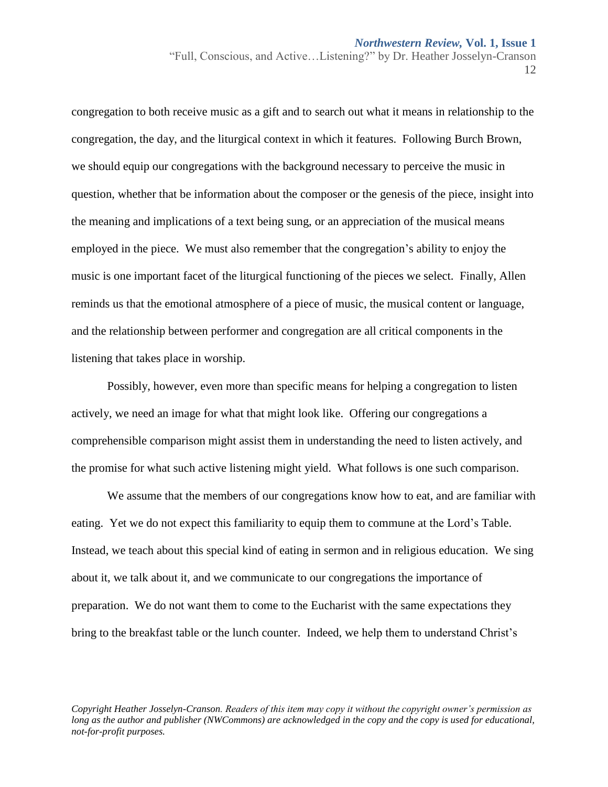congregation to both receive music as a gift and to search out what it means in relationship to the congregation, the day, and the liturgical context in which it features. Following Burch Brown, we should equip our congregations with the background necessary to perceive the music in question, whether that be information about the composer or the genesis of the piece, insight into the meaning and implications of a text being sung, or an appreciation of the musical means employed in the piece. We must also remember that the congregation's ability to enjoy the music is one important facet of the liturgical functioning of the pieces we select. Finally, Allen reminds us that the emotional atmosphere of a piece of music, the musical content or language, and the relationship between performer and congregation are all critical components in the listening that takes place in worship.

Possibly, however, even more than specific means for helping a congregation to listen actively, we need an image for what that might look like. Offering our congregations a comprehensible comparison might assist them in understanding the need to listen actively, and the promise for what such active listening might yield. What follows is one such comparison.

We assume that the members of our congregations know how to eat, and are familiar with eating. Yet we do not expect this familiarity to equip them to commune at the Lord's Table. Instead, we teach about this special kind of eating in sermon and in religious education. We sing about it, we talk about it, and we communicate to our congregations the importance of preparation. We do not want them to come to the Eucharist with the same expectations they bring to the breakfast table or the lunch counter. Indeed, we help them to understand Christ's